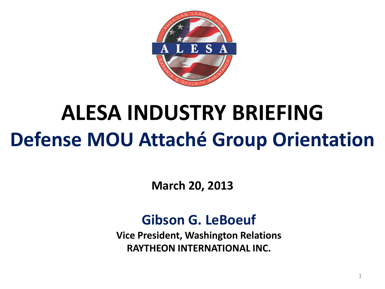

# **ALESA INDUSTRY BRIEFING Defense MOU Attaché Group Orientation**

**March 20, 2013**

#### **Gibson G. LeBoeuf**

**Vice President, Washington Relations RAYTHEON INTERNATIONAL INC.**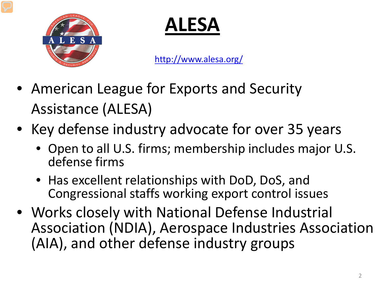

**ALESA**

<http://www.alesa.org/>

- American League for Exports and Security Assistance (ALESA)
- Key defense industry advocate for over 35 years
	- Open to all U.S. firms; membership includes major U.S. defense firms
	- Has excellent relationships with DoD, DoS, and Congressional staffs working export control issues
- Works closely with National Defense Industrial Association (NDIA), Aerospace Industries Association (AIA), and other defense industry groups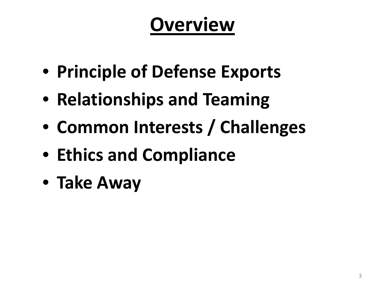### **Overview**

- **Principle of Defense Exports**
- **Relationships and Teaming**
- **Common Interests / Challenges**
- **Ethics and Compliance**
- **Take Away**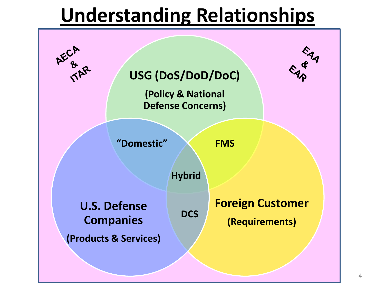### **Understanding Relationships**

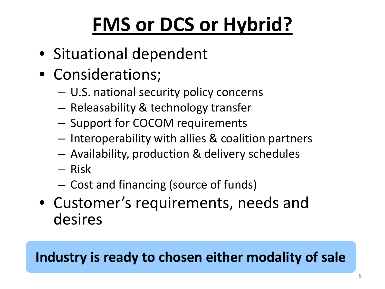# **FMS or DCS or Hybrid?**

- Situational dependent
- Considerations;
	- U.S. national security policy concerns
	- Releasability & technology transfer
	- Support for COCOM requirements
	- Interoperability with allies & coalition partners
	- Availability, production & delivery schedules
	- Risk
	- Cost and financing (source of funds)
- Customer's requirements, needs and desires

#### **Industry is ready to chosen either modality of sale**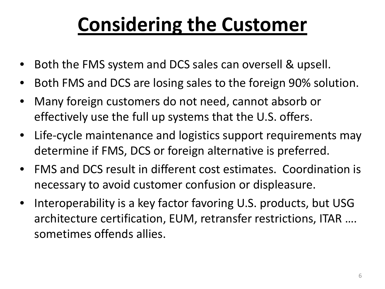# **Considering the Customer**

- Both the FMS system and DCS sales can oversell & upsell.
- Both FMS and DCS are losing sales to the foreign 90% solution.
- Many foreign customers do not need, cannot absorb or effectively use the full up systems that the U.S. offers.
- Life-cycle maintenance and logistics support requirements may determine if FMS, DCS or foreign alternative is preferred.
- FMS and DCS result in different cost estimates. Coordination is necessary to avoid customer confusion or displeasure.
- Interoperability is a key factor favoring U.S. products, but USG architecture certification, EUM, retransfer restrictions, ITAR …. sometimes offends allies.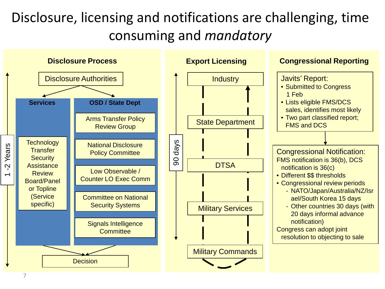#### Disclosure, licensing and notifications are challenging, time consuming and *mandatory*

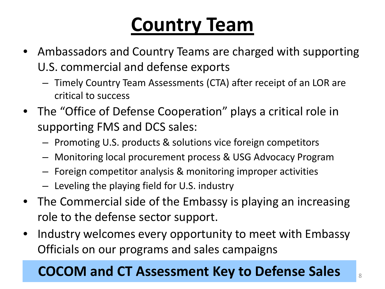### **Country Team**

- Ambassadors and Country Teams are charged with supporting U.S. commercial and defense exports
	- Timely Country Team Assessments (CTA) after receipt of an LOR are critical to success
- The "Office of Defense Cooperation" plays a critical role in supporting FMS and DCS sales:
	- Promoting U.S. products & solutions vice foreign competitors
	- Monitoring local procurement process & USG Advocacy Program
	- Foreign competitor analysis & monitoring improper activities
	- Leveling the playing field for U.S. industry
- The Commercial side of the Embassy is playing an increasing role to the defense sector support.
- Industry welcomes every opportunity to meet with Embassy Officials on our programs and sales campaigns

#### **COCOM and CT Assessment Key to Defense Sales** <sup>8</sup>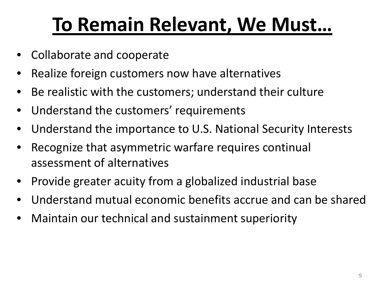### **To Remain Relevant, We Must…**

- Collaborate and cooperate
- Realize foreign customers now have alternatives
- Be realistic with the customers; understand their culture
- Understand the customers' requirements
- Understand the importance to U.S. National Security Interests
- Recognize that asymmetric warfare requires continual assessment of alternatives
- Provide greater acuity from a globalized industrial base
- Understand mutual economic benefits accrue and can be shared
- Maintain our technical and sustainment superiority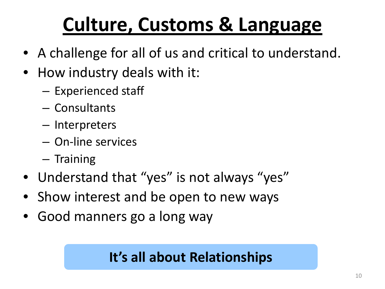# **Culture, Customs & Language**

- A challenge for all of us and critical to understand.
- How industry deals with it:
	- Experienced staff
	- Consultants
	- Interpreters
	- On-line services
	- Training
- Understand that "yes" is not always "yes"
- Show interest and be open to new ways
- Good manners go a long way

#### **It's all about Relationships**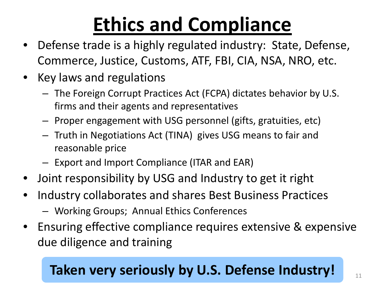# **Ethics and Compliance**

- Defense trade is a highly regulated industry: State, Defense, Commerce, Justice, Customs, ATF, FBI, CIA, NSA, NRO, etc.
- Key laws and regulations
	- The Foreign Corrupt Practices Act (FCPA) dictates behavior by U.S. firms and their agents and representatives
	- Proper engagement with USG personnel (gifts, gratuities, etc)
	- Truth in Negotiations Act (TINA) gives USG means to fair and reasonable price
	- Export and Import Compliance (ITAR and EAR)
- Joint responsibility by USG and Industry to get it right
- Industry collaborates and shares Best Business Practices
	- Working Groups; Annual Ethics Conferences
- Ensuring effective compliance requires extensive & expensive due diligence and training

#### **Taken very seriously by U.S. Defense Industry!**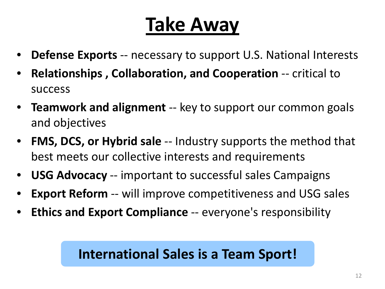# **Take Away**

- **Defense Exports** -- necessary to support U.S. National Interests
- **Relationships , Collaboration, and Cooperation** -- critical to success
- **Teamwork and alignment** -- key to support our common goals and objectives
- **FMS, DCS, or Hybrid sale** -- Industry supports the method that best meets our collective interests and requirements
- **USG Advocacy** -- important to successful sales Campaigns
- **Export Reform** -- will improve competitiveness and USG sales
- **Ethics and Export Compliance** -- everyone's responsibility

#### **International Sales is a Team Sport!**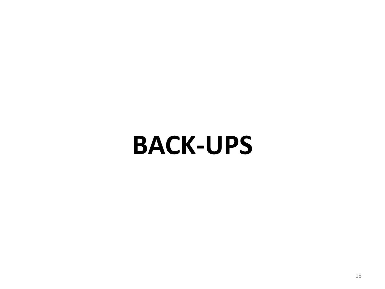# **BACK-UPS**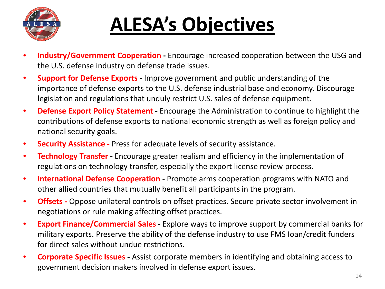

# **ALESA's Objectives**

- **Industry/Government Cooperation -** Encourage increased cooperation between the USG and the U.S. defense industry on defense trade issues.
- **Support for Defense Exports -** Improve government and public understanding of the importance of defense exports to the U.S. defense industrial base and economy. Discourage legislation and regulations that unduly restrict U.S. sales of defense equipment.
- **Defense Export Policy Statement -** Encourage the Administration to continue to highlight the contributions of defense exports to national economic strength as well as foreign policy and national security goals.
- **Security Assistance -** Press for adequate levels of security assistance.
- **Technology Transfer -** Encourage greater realism and efficiency in the implementation of regulations on technology transfer, especially the export license review process.
- **International Defense Cooperation -** Promote arms cooperation programs with NATO and other allied countries that mutually benefit all participants in the program.
- **Offsets -** Oppose unilateral controls on offset practices. Secure private sector involvement in negotiations or rule making affecting offset practices.
- **Export Finance/Commercial Sales -** Explore ways to improve support by commercial banks for military exports. Preserve the ability of the defense industry to use FMS Ioan/credit funders for direct sales without undue restrictions.
- **Corporate Specific Issues -** Assist corporate members in identifying and obtaining access to government decision makers involved in defense export issues.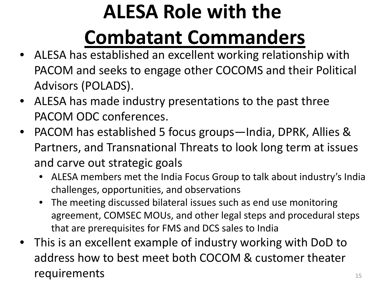# **ALESA Role with the Combatant Commanders**

- ALESA has established an excellent working relationship with PACOM and seeks to engage other COCOMS and their Political Advisors (POLADS).
- ALESA has made industry presentations to the past three PACOM ODC conferences.
- PACOM has established 5 focus groups—India, DPRK, Allies & Partners, and Transnational Threats to look long term at issues and carve out strategic goals
	- ALESA members met the India Focus Group to talk about industry's India challenges, opportunities, and observations
	- The meeting discussed bilateral issues such as end use monitoring agreement, COMSEC MOUs, and other legal steps and procedural steps that are prerequisites for FMS and DCS sales to India
- This is an excellent example of industry working with DoD to address how to best meet both COCOM & customer theater  $requirements$   $15$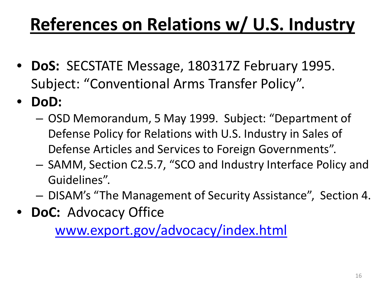### **References on Relations w/ U.S. Industry**

- **DoS:** SECSTATE Message, 180317Z February 1995. Subject: "Conventional Arms Transfer Policy".
- **DoD:**
	- OSD Memorandum, 5 May 1999. Subject: "Department of Defense Policy for Relations with U.S. Industry in Sales of Defense Articles and Services to Foreign Governments".
	- SAMM, Section C2.5.7, "SCO and Industry Interface Policy and Guidelines".
	- DISAM's "The Management of Security Assistance", Section 4.
- **DoC:** Advocacy Office

[www.export.gov/advocacy/index.html](http://www.export.gov/advocacy/index.html)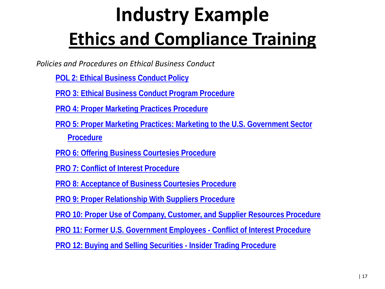# **Industry Example Ethics and Compliance Training**

*Policies and Procedures on Ethical Business Conduct*

**[POL 2: Ethical Business Conduct Policy](http://www.boeing.com/companyoffices/aboutus/ethics/pol2.pdf)**

**[PRO 3: Ethical Business Conduct Program Procedure](http://www.boeing.com/companyoffices/aboutus/ethics/pro3.pdf)**

**[PRO 4: Proper Marketing Practices Procedure](http://www.boeing.com/companyoffices/aboutus/ethics/pro4.pdf)**

**[PRO 5: Proper Marketing Practices: Marketing to the U.S. Government Sector](http://www.boeing.com/companyoffices/aboutus/ethics/pro5.pdf)  [Procedure](http://www.boeing.com/companyoffices/aboutus/ethics/pro5.pdf)**

**[PRO 6: Offering Business Courtesies Procedure](http://www.boeing.com/companyoffices/aboutus/ethics/pro6.pdf)**

**[PRO 7: Conflict of Interest Procedure](http://www.boeing.com/companyoffices/aboutus/ethics/pro7.pdf)**

**[PRO 8: Acceptance of Business Courtesies Procedure](http://www.boeing.com/companyoffices/aboutus/ethics/pro8.pdf)**

**[PRO 9: Proper Relationship With Suppliers Procedure](http://www.boeing.com/companyoffices/aboutus/ethics/pro9.pdf)**

**[PRO 10: Proper Use of Company, Customer, and Supplier Resources Procedure](http://www.boeing.com/companyoffices/aboutus/ethics/pro10.pdf)**

**[PRO 11: Former U.S. Government Employees -](http://www.boeing.com/companyoffices/aboutus/ethics/pro11.pdf) Conflict of Interest Procedure**

**[PRO 12: Buying and Selling Securities -](http://www.boeing.com/companyoffices/aboutus/ethics/pro12.pdf) [Insider Trading Procedure](http://www.boeing.com/companyoffices/aboutus/ethics/pro12.pdf)**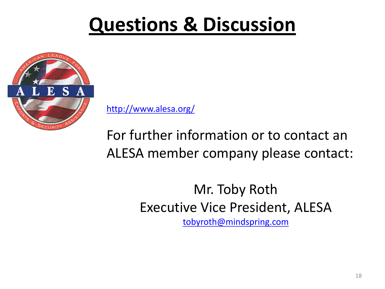### **Questions & Discussion**



<http://www.alesa.org/>

For further information or to contact an ALESA member company please contact:

> Mr. Toby Roth Executive Vice President, ALESA [tobyroth@mindspring.com](mailto:toby.roth@mindspring.com)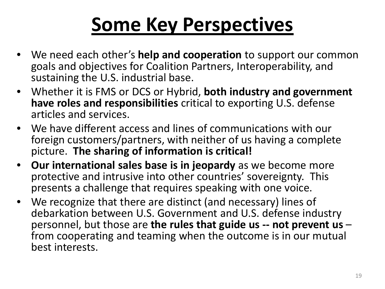### **Some Key Perspectives**

- We need each other's **help and cooperation** to support our common goals and objectives for Coalition Partners, Interoperability, and sustaining the U.S. industrial base.
- Whether it is FMS or DCS or Hybrid, **both industry and government have roles and responsibilities** critical to exporting U.S. defense articles and services.
- We have different access and lines of communications with our foreign customers/partners, with neither of us having a complete picture. **The sharing of information is critical!**
- **Our international sales base is in jeopardy** as we become more protective and intrusive into other countries' sovereignty. This presents a challenge that requires speaking with one voice.
- We recognize that there are distinct (and necessary) lines of debarkation between U.S. Government and U.S. defense industry personnel, but those are **the rules that guide us -- not prevent us** – from cooperating and teaming when the outcome is in our mutual best interests.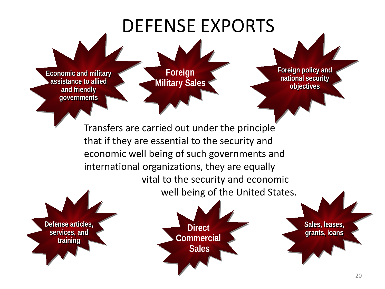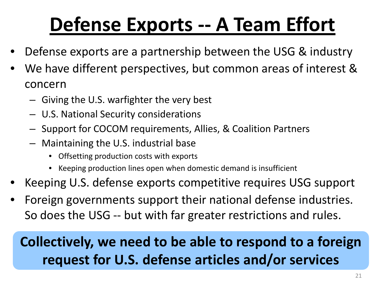# **Defense Exports -- A Team Effort**

- Defense exports are a partnership between the USG & industry
- We have different perspectives, but common areas of interest & concern
	- Giving the U.S. warfighter the very best
	- U.S. National Security considerations
	- Support for COCOM requirements, Allies, & Coalition Partners
	- Maintaining the U.S. industrial base
		- Offsetting production costs with exports
		- Keeping production lines open when domestic demand is insufficient
- Keeping U.S. defense exports competitive requires USG support
- Foreign governments support their national defense industries. So does the USG -- but with far greater restrictions and rules.

#### **Collectively, we need to be able to respond to a foreign request for U.S. defense articles and/or services**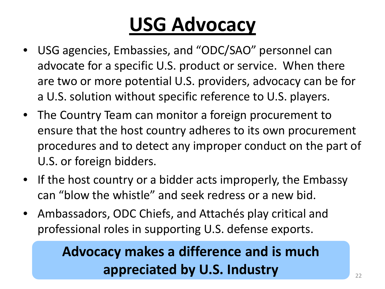# **USG Advocacy**

- USG agencies, Embassies, and "ODC/SAO" personnel can advocate for a specific U.S. product or service. When there are two or more potential U.S. providers, advocacy can be for a U.S. solution without specific reference to U.S. players.
- The Country Team can monitor a foreign procurement to ensure that the host country adheres to its own procurement procedures and to detect any improper conduct on the part of U.S. or foreign bidders.
- If the host country or a bidder acts improperly, the Embassy can "blow the whistle" and seek redress or a new bid.
- Ambassadors, ODC Chiefs, and Attachés play critical and professional roles in supporting U.S. defense exports.

#### **Advocacy makes a difference and is much appreciated by U.S. Industry**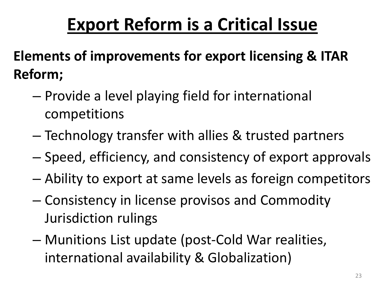### **Export Reform is a Critical Issue**

**Elements of improvements for export licensing & ITAR Reform;**

- Provide a level playing field for international competitions
- Technology transfer with allies & trusted partners
- Speed, efficiency, and consistency of export approvals
- Ability to export at same levels as foreign competitors
- Consistency in license provisos and Commodity Jurisdiction rulings
- Munitions List update (post-Cold War realities, international availability & Globalization)